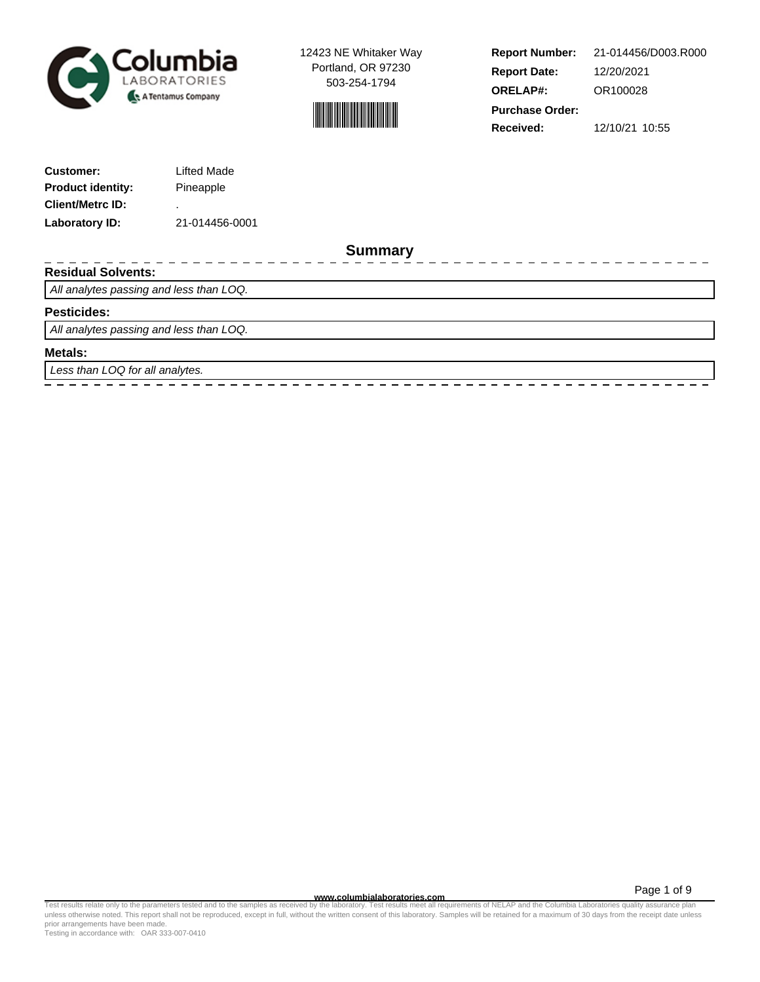



**Report Number: Report Date: ORELAP#:** 12/20/2021 OR100028 **Received:** 12/10/21 10:55 **Purchase Order:** 21-014456/D003.R000

| <b>Customer:</b>         | Lifted Made    |
|--------------------------|----------------|
| <b>Product identity:</b> | Pineapple      |
| <b>Client/Metrc ID:</b>  | ٠              |
| Laboratory ID:           | 21-014456-0001 |

**Summary**

---------

 $-$ 

## **Residual Solvents:**

All analytes passing and less than LOQ.

### **Pesticides:**

All analytes passing and less than LOQ.

### **Metals:**

Less than LOQ for all analytes.

**www.columbialaboratories.com**

Test results relate only to the parameters tested and to the samples as received by the laboratory. Test results meet all requirements of NELAP and the Columbia Laboratories quality assurance plan<br>unless otherwise noted. T prior arrangements have been made.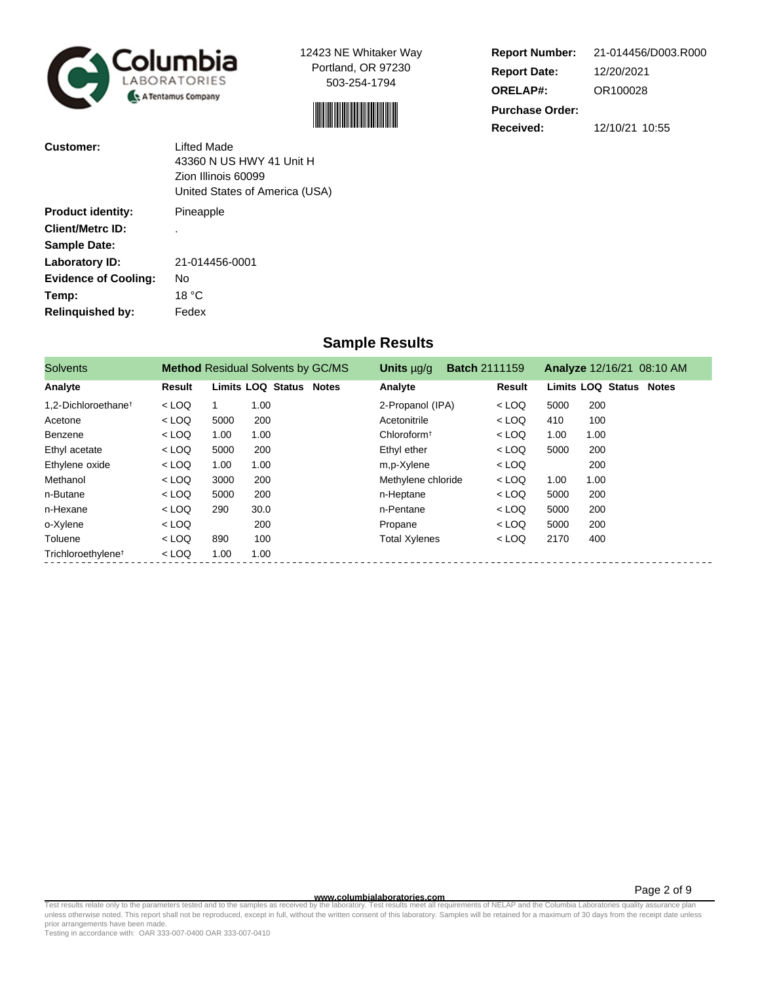



| <b>Report Number:</b>  | 21-014456/D003.R000 |
|------------------------|---------------------|
| <b>Report Date:</b>    | 12/20/2021          |
| <b>ORELAP#:</b>        | OR100028            |
| <b>Purchase Order:</b> |                     |
| Received:              | 12/10/21 10:55      |

| Customer:                   | Lifted Made<br>43360 N US HWY 41 Unit H<br>Zion Illinois 60099<br>United States of America (USA) |
|-----------------------------|--------------------------------------------------------------------------------------------------|
| <b>Product identity:</b>    | Pineapple                                                                                        |
| <b>Client/Metrc ID:</b>     |                                                                                                  |
| <b>Sample Date:</b>         |                                                                                                  |
| Laboratory ID:              | 21-014456-0001                                                                                   |
| <b>Evidence of Cooling:</b> | No                                                                                               |
| Temp:                       | 18 °C                                                                                            |
| <b>Relinquished by:</b>     | Fedex                                                                                            |

# **Sample Results**

| Solvents                        |         |      | <b>Method Residual Solvents by GC/MS</b> | <b>Batch 2111159</b><br><b>Units</b> $\mu q/q$ |         |      | <b>Analyze 12/16/21 08:10 AM</b> |
|---------------------------------|---------|------|------------------------------------------|------------------------------------------------|---------|------|----------------------------------|
| Analyte                         | Result  |      | <b>Limits LOQ Status Notes</b>           | Analyte                                        | Result  |      | <b>Limits LOQ Status Notes</b>   |
| 1,2-Dichloroethane <sup>t</sup> | $<$ LOQ |      | 1.00                                     | 2-Propanol (IPA)                               | $<$ LOQ | 5000 | 200                              |
| Acetone                         | $<$ LOQ | 5000 | 200                                      | Acetonitrile                                   | $<$ LOQ | 410  | 100                              |
| Benzene                         | $<$ LOQ | 1.00 | 1.00                                     | Chloroform <sup>+</sup>                        | $<$ LOQ | 1.00 | 1.00                             |
| Ethyl acetate                   | $<$ LOQ | 5000 | 200                                      | Ethyl ether                                    | $<$ LOQ | 5000 | 200                              |
| Ethylene oxide                  | $<$ LOQ | 1.00 | 1.00                                     | m,p-Xylene                                     | $<$ LOQ |      | 200                              |
| Methanol                        | $<$ LOQ | 3000 | 200                                      | Methylene chloride                             | $<$ LOQ | 1.00 | 1.00                             |
| n-Butane                        | $<$ LOQ | 5000 | 200                                      | n-Heptane                                      | $<$ LOQ | 5000 | 200                              |
| n-Hexane                        | $<$ LOQ | 290  | 30.0                                     | n-Pentane                                      | $<$ LOQ | 5000 | 200                              |
| o-Xylene                        | $<$ LOQ |      | 200                                      | Propane                                        | $<$ LOQ | 5000 | 200                              |
| Toluene                         | $<$ LOQ | 890  | 100                                      | <b>Total Xylenes</b>                           | $<$ LOQ | 2170 | 400                              |
| Trichloroethylene <sup>†</sup>  | $<$ LOQ | 1.00 | 1.00                                     |                                                |         |      |                                  |

**WWW.columbialaboratories.com**<br>unless otherwise noted. This report shall not be reproduced, except in full, without the written consent of this laboratory. Test results meet all requirements of NELAP and the Columbia Labor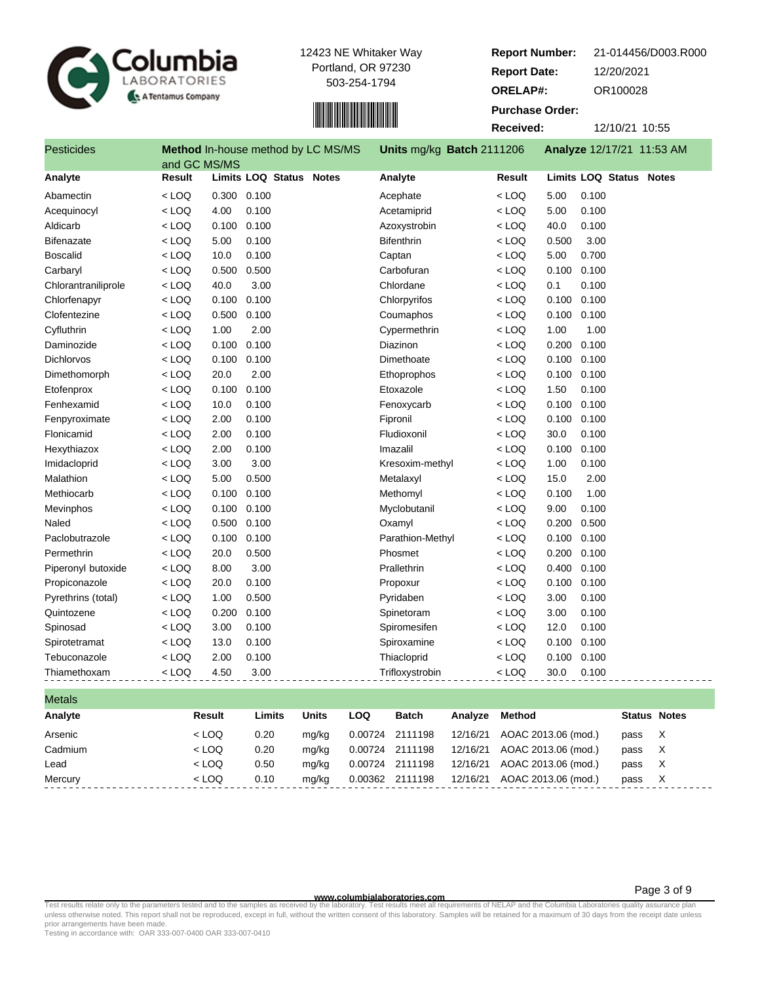



**Report Number: Report Date: ORELAP#:** 12/20/2021 OR100028 **Received:** 12/10/21 10:55 **Purchase Order:** 21-014456/D003.R000

| <b>Pesticides</b>   | and GC MS/MS |                        | Method In-house method by LC MS/MS |                   |         | Units mg/kg Batch 2111206 |          |                                        |       |       | Analyze 12/17/21 11:53 AM      |                     |
|---------------------|--------------|------------------------|------------------------------------|-------------------|---------|---------------------------|----------|----------------------------------------|-------|-------|--------------------------------|---------------------|
| Analyte             | Result       |                        | <b>Limits LOQ Status Notes</b>     |                   |         | Analyte                   |          | Result                                 |       |       | <b>Limits LOQ Status Notes</b> |                     |
| Abamectin           | $<$ LOQ      | 0.300                  | 0.100                              |                   |         | Acephate                  |          | $<$ LOQ                                | 5.00  | 0.100 |                                |                     |
| Acequinocyl         | < LOQ        | 4.00                   | 0.100                              |                   |         | Acetamiprid               |          | < LOQ                                  | 5.00  | 0.100 |                                |                     |
| Aldicarb            | $<$ LOQ      | 0.100                  | 0.100                              |                   |         | Azoxystrobin              |          | $<$ LOQ                                | 40.0  | 0.100 |                                |                     |
| <b>Bifenazate</b>   | $<$ LOQ      | 5.00                   | 0.100                              |                   |         | <b>Bifenthrin</b>         |          | $<$ LOQ                                | 0.500 | 3.00  |                                |                     |
| <b>Boscalid</b>     | $<$ LOQ      | 10.0                   | 0.100                              |                   |         | Captan                    |          | $<$ LOQ                                | 5.00  | 0.700 |                                |                     |
| Carbaryl            | $<$ LOQ      | 0.500                  | 0.500                              |                   |         | Carbofuran                |          | $<$ LOQ                                | 0.100 | 0.100 |                                |                     |
| Chlorantraniliprole | < LOQ        | 40.0                   | 3.00                               |                   |         | Chlordane                 |          | $<$ LOQ                                | 0.1   | 0.100 |                                |                     |
| Chlorfenapyr        | < LOQ        | 0.100                  | 0.100                              |                   |         | Chlorpyrifos              |          | $<$ LOQ                                | 0.100 | 0.100 |                                |                     |
| Clofentezine        | < LOQ        | 0.500                  | 0.100                              |                   |         | Coumaphos                 |          | $<$ LOQ                                | 0.100 | 0.100 |                                |                     |
| Cyfluthrin          | < LOQ        | 1.00                   | 2.00                               |                   |         | Cypermethrin              |          | $<$ LOQ                                | 1.00  | 1.00  |                                |                     |
| Daminozide          | $<$ LOQ      | 0.100                  | 0.100                              |                   |         | Diazinon                  |          | $<$ LOQ                                | 0.200 | 0.100 |                                |                     |
| <b>Dichlorvos</b>   | $<$ LOQ      | 0.100                  | 0.100                              |                   |         | Dimethoate                |          | $<$ LOQ                                | 0.100 | 0.100 |                                |                     |
| Dimethomorph        | $<$ LOQ      | 20.0                   | 2.00                               |                   |         | Ethoprophos               |          | $<$ LOQ                                | 0.100 | 0.100 |                                |                     |
| Etofenprox          | $<$ LOQ      | 0.100                  | 0.100                              |                   |         | Etoxazole                 |          | $<$ LOQ                                | 1.50  | 0.100 |                                |                     |
| Fenhexamid          | $<$ LOQ      | 10.0                   | 0.100                              |                   |         | Fenoxycarb                |          | $<$ LOQ                                | 0.100 | 0.100 |                                |                     |
| Fenpyroximate       | < LOQ        | 2.00                   | 0.100                              |                   |         | Fipronil                  |          | $<$ LOQ                                | 0.100 | 0.100 |                                |                     |
| Flonicamid          | $<$ LOQ      | 2.00                   | 0.100                              |                   |         | Fludioxonil               |          | $<$ LOQ                                | 30.0  | 0.100 |                                |                     |
| Hexythiazox         | < LOQ        | 2.00                   | 0.100                              |                   |         | Imazalil                  |          | $<$ LOQ                                | 0.100 | 0.100 |                                |                     |
| Imidacloprid        | < LOQ        | 3.00                   | 3.00                               |                   |         | Kresoxim-methyl           |          | < LOQ                                  | 1.00  | 0.100 |                                |                     |
| Malathion           | $<$ LOQ      | 5.00                   | 0.500                              |                   |         | Metalaxyl                 |          | $<$ LOQ                                | 15.0  | 2.00  |                                |                     |
| Methiocarb          | $<$ LOQ      | 0.100                  | 0.100                              |                   |         | Methomyl                  |          | $<$ LOQ                                | 0.100 | 1.00  |                                |                     |
| Mevinphos           | $<$ LOQ      | 0.100                  | 0.100                              |                   |         | Myclobutanil              |          | $<$ LOQ                                | 9.00  | 0.100 |                                |                     |
| Naled               | $<$ LOQ      | 0.500                  | 0.100                              |                   |         | Oxamyl                    |          | $<$ LOQ                                | 0.200 | 0.500 |                                |                     |
| Paclobutrazole      | $<$ LOQ      | 0.100                  | 0.100                              |                   |         | Parathion-Methyl          |          | $<$ LOQ                                | 0.100 | 0.100 |                                |                     |
| Permethrin          | < LOQ        | 20.0                   | 0.500                              |                   |         | Phosmet                   |          | $<$ LOQ                                | 0.200 | 0.100 |                                |                     |
| Piperonyl butoxide  | < LOQ        | 8.00                   | 3.00                               |                   |         | Prallethrin               |          | $<$ LOQ                                | 0.400 | 0.100 |                                |                     |
| Propiconazole       | < LOQ        | 20.0                   | 0.100                              |                   |         | Propoxur                  |          | $<$ LOQ                                | 0.100 | 0.100 |                                |                     |
| Pyrethrins (total)  | $<$ LOQ      | 1.00                   | 0.500                              |                   |         | Pyridaben                 |          | $<$ LOQ                                | 3.00  | 0.100 |                                |                     |
| Quintozene          | $<$ LOQ      | 0.200                  | 0.100                              |                   |         | Spinetoram                |          | $<$ LOQ                                | 3.00  | 0.100 |                                |                     |
| Spinosad            | $<$ LOQ      | 3.00                   | 0.100                              |                   |         | Spiromesifen              |          | $<$ LOQ                                | 12.0  | 0.100 |                                |                     |
| Spirotetramat       | $<$ LOQ      | 13.0                   | 0.100                              |                   |         | Spiroxamine               |          | $<$ LOQ                                | 0.100 | 0.100 |                                |                     |
| Tebuconazole        | $<$ LOQ      | 2.00                   | 0.100                              |                   |         | Thiacloprid               |          | $<$ LOQ                                | 0.100 | 0.100 |                                |                     |
| Thiamethoxam        | < LOQ        | 4.50                   | 3.00                               |                   |         | Trifloxystrobin           |          | < LOQ                                  | 30.0  | 0.100 |                                |                     |
| <b>Metals</b>       |              |                        |                                    |                   |         |                           |          |                                        |       |       |                                |                     |
| Analyte             |              | <b>Result</b>          | Limits                             | <b>Units</b>      | LOQ     | <b>Batch</b>              | Analyze  | <b>Method</b>                          |       |       |                                | <b>Status Notes</b> |
| Arconic             |              | $\sim$ 1 $\cap$ $\cap$ | 0.20                               | $m\alpha/k\alpha$ | 0.00724 | 2111108                   | 12/16/21 | $\triangle O\triangle C$ 2013 06 (mod) |       |       | nace X                         |                     |

### Arsenic < LOQ 0.20 mg/kg 0.00724 2111198 12/16/21 AOAC 2013.06 (mod.) pass X Cadmium < LOQ 0.20 mg/kg 0.00724 2111198 12/16/21 AOAC 2013.06 (mod.) pass X Lead < LOQ 0.50 mg/kg 0.00724 2111198 12/16/21 AOAC 2013.06 (mod.) pass X Mercury < LOQ 0.10 mg/kg 0.00362 2111198 12/16/21 AOAC 2013.06 (mod.) pass X  $\overline{a}$  $\frac{1}{2}$  .  $\frac{1}{2}$  .  $\frac{1}{2}$

Page 3 of 9

**www.columbialaboratories.com**<br>Test results relate only to the parameters tested and to the samples as received by the laboratory. Test results meet all requirements of NELAP and the Columbia Laboratories quality assurance Test results relate only to the parameters tested and to the samples as received by the laboratory. Test results meet all requirements of NELAP and the Columbia Laboratories quality assurance plan<br>unless otherwise noted. T prior arrangements have been made.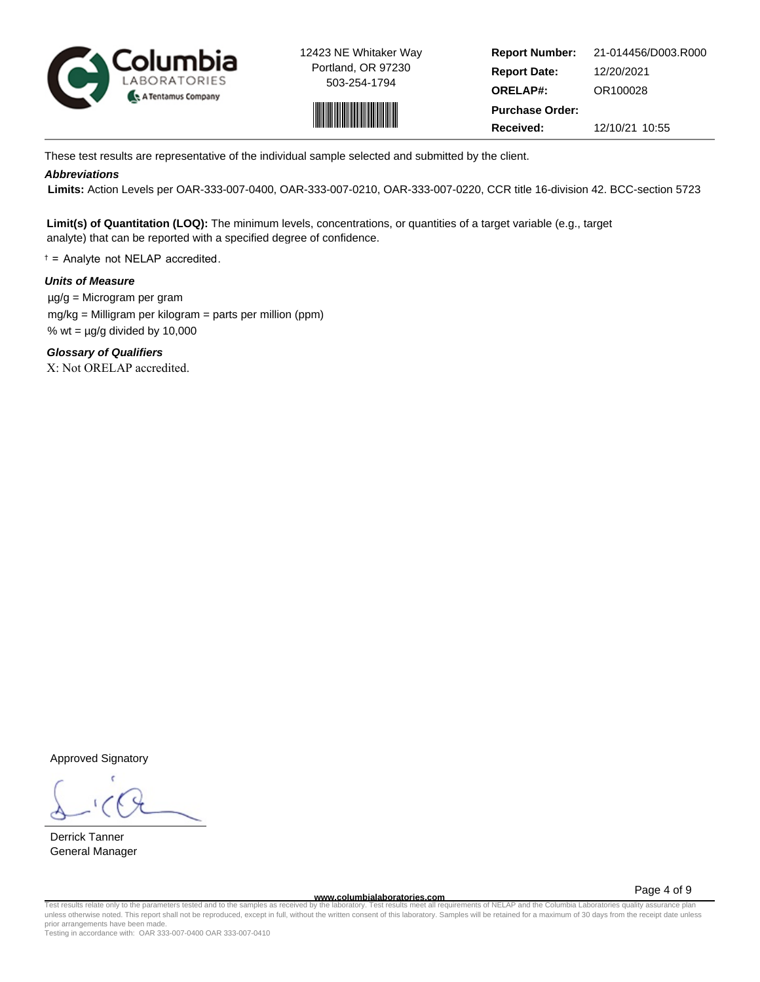



**Report Number: Report Date: ORELAP#:** 12/20/2021 OR100028 **Received:** 12/10/21 10:55 **Purchase Order:** 21-014456/D003.R000

These test results are representative of the individual sample selected and submitted by the client.

## **Abbreviations**

 **Limits:** Action Levels per OAR-333-007-0400, OAR-333-007-0210, OAR-333-007-0220, CCR title 16-division 42. BCC-section 5723

**Limit(s) of Quantitation (LOQ):** The minimum levels, concentrations, or quantities of a target variable (e.g., target analyte) that can be reported with a specified degree of confidence.

† = Analyte not NELAP accredited.

## **Units of Measure**

 µg/g = Microgram per gram mg/kg = Milligram per kilogram = parts per million (ppm) % wt =  $\mu$ g/g divided by 10,000

**Glossary of Qualifiers** X: Not ORELAP accredited.

Approved Signatory

Derrick Tanner General Manager

**www.columbialaboratories.com**

Page 4 of 9

Test results relate only to the parameters tested and to the samples as received by the laboratory. Test results meet all requirements of NELAP and the Columbia Laboratories quality assurance plan<br>unless otherwise noted. T prior arrangements have been made.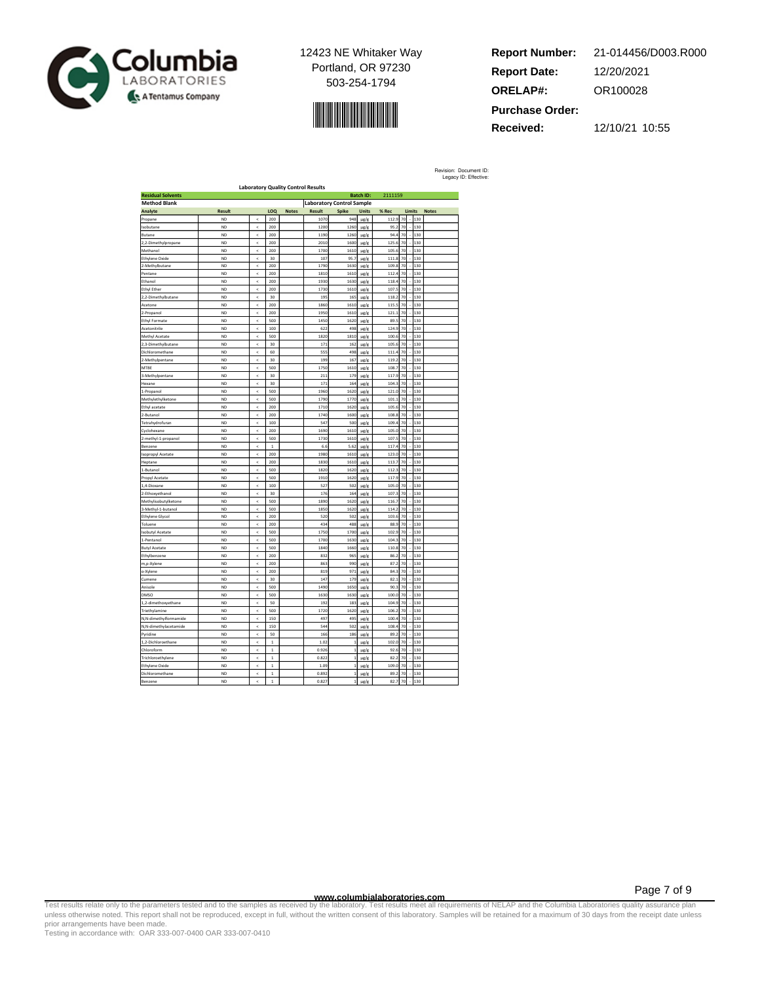

$$
\mathcal{L}^{\text{max}}_{\text{max}}
$$

**Report Number: Report Date: ORELAP#:** 12/20/2021 OR100028 **Received:** 12/10/21 10:55 **Purchase Order:** 21-014456/D003.R000

Revision: Document ID: Legacy ID: Effective:

| <b>Laboratory Quality Control Results</b> |                |                          |                |              |        |                                  |                  |                  |          |            |              |
|-------------------------------------------|----------------|--------------------------|----------------|--------------|--------|----------------------------------|------------------|------------------|----------|------------|--------------|
| <b>Residual Solvents</b>                  |                |                          |                |              |        |                                  | <b>Batch ID:</b> | 2111159          |          |            |              |
| <b>Method Blank</b>                       |                |                          |                |              |        | <b>Laboratory Control Sample</b> |                  |                  |          |            |              |
| Analyte                                   | Result         |                          | LOO            | <b>Notes</b> | Result | Spike                            | Units            | % Rec            |          | Limits     | <b>Notes</b> |
| Propane                                   | <b>ND</b>      | k                        | 200            |              | 1070   | 948                              | $\mu$ g/g        | 112.9            | 70       | 130        |              |
| sobutane                                  | <b>ND</b>      | $\overline{\phantom{a}}$ | 200            |              | 1200   | 1260                             | µg/g             | 95.2             | 70       | 130        |              |
| <b>Butane</b>                             | <b>ND</b>      | ż                        | 200            |              | 1190   | 1260                             | µg/g             | 94               | 70       | 130        |              |
| 2-Dimethylpropane                         | <b>ND</b>      | $\overline{\phantom{a}}$ | 200            |              | 2010   | 1600                             | ug/g             | 125.6            | 70       | 130        |              |
| Methanol                                  | <b>ND</b>      | ≺                        | 200            |              | 1700   | 1610                             | µg/g             | 105.6            | 70       | 130        |              |
| Ethylene Oxide                            | <b>ND</b>      | ć                        | 30             |              | 107    | 95.                              | µg/g             | 111.8            | 70       | 130        |              |
| 2-Methylbutane                            | <b>ND</b>      | ć                        | 200            |              | 1790   | 1630                             | $\mu$ g/g        | 109.8            | 70       | 130        |              |
| Pentane                                   | <b>ND</b>      |                          |                |              | 1810   |                                  |                  |                  |          |            |              |
|                                           | <b>ND</b>      | $\dot{\phantom{1}}$<br>ż | 200            |              | 1930   | 1610                             | µg/g             | 112.4<br>118.    | 70<br>70 | 130<br>130 |              |
| thanol<br>Ethyl Ether                     | <b>ND</b>      | $\overline{\phantom{a}}$ | 200<br>200     |              | 1730   | 1630<br>1610                     | µg/g             | 107.             | 70       | 130        |              |
|                                           |                |                          |                |              |        |                                  | µg/g             |                  |          |            |              |
| 2,2-Dimethylbutane                        | <b>ND</b>      | $\overline{\phantom{a}}$ | 30             |              | 195    | 165                              | µg/g             | 118.2            | 70       | 130        |              |
| Acetone                                   | ND <sub></sub> | ż                        | 200            |              | 1860   | 1610                             | µg/g             | 1151             | 70       | 130        |              |
| 2-Propanol                                | <b>ND</b>      | k                        | 200            |              | 1950   | 1610                             | $\mu$ g/g        | 121.1            | 70       | 130        |              |
| Ethyl Formate                             | <b>ND</b>      | $\overline{\phantom{a}}$ | 500            |              | 1450   | 1620                             | ug/g             | 89.              | 70       | 130        |              |
| Acetonitrile                              | ND             | ć                        | 100            |              | 622    | 49                               | µg/g             | 124.9            | 70       | 130        |              |
| Methyl Acetate                            | <b>ND</b>      | ≺                        | 500            |              | 1820   | 1810                             | µg/g             | 100.6            | 70       | 130        |              |
| 2,3-Dimethylbutane                        | ND             | $\,<$                    | 30             |              | 171    | 162                              | µg/g             | 105.6            | 70       | 130        |              |
| Dichloromethane                           | <b>ND</b>      | ż                        | 60             |              | 55     | 498                              | µg/g             | 111.             | 70       | 130        |              |
| 2-Methylpentane                           | <b>ND</b>      | k                        | 30             |              | 199    | 167                              | µg/g             | 119.2            | 70       | 130        |              |
| MTBE                                      | <b>ND</b>      | $\overline{\phantom{a}}$ | 500            |              | 1750   | 1610                             | ug/g             | 108.7            | 70       | 130        |              |
| -Methylpentane                            | <b>ND</b>      | ż                        | 30             |              | 211    | 17 <sub>2</sub>                  | µg/g             | 117.9            | 70       | 130        |              |
| Hexane                                    | ND.            | k                        | 30             |              | 171    | 164                              | µg/g             | 104.             | 70       | 130        |              |
| 1-Propanol                                | <b>ND</b>      | $\,<$                    | 500            |              | 1960   | 1620                             | ug/g             | 121.0            | 70       | 130        |              |
| Methylethylketone                         | ND             | ć                        | 500            |              | 1790   | 1770                             | µg/g             | 101.1            | 70       | 130        |              |
| Ethyl acetate                             | ND             | $\,<$                    | 200            |              | 1710   | 1620                             | $\mu$ g/g        | 105.6            | 70       | 130        |              |
| -Butanol                                  | <b>ND</b>      | $\hat{~}$                | 200            |              | 1740   | 1600                             | µg/g             | 108.8            | 70       | 130        |              |
| Tetrahydrofuran                           | <b>ND</b>      | k                        | 100            |              | 54     | 500                              | µg/g             | 109.             | 70       | 130        |              |
| Cyclohexane                               | <b>ND</b>      | ¢                        | 200            |              | 1690   | 1610                             | µg/g             | 105.0            | 70       | 130        |              |
|                                           | ND.            | $\epsilon$               | 500            |              | 1730   | 1610                             | µg/g             | 107 <sup>1</sup> | 70       | 130        |              |
| -methyl-1-propanol<br>Benzene             | <b>ND</b>      | ż                        | $\overline{1}$ |              | 6.6    | 5.62                             |                  | 117.             | 70       | 130        |              |
|                                           |                |                          |                |              |        |                                  | µg/g             |                  |          |            |              |
| Isopropyl Acetate                         | <b>ND</b>      | k                        | 200            |              | 1980   | 1610                             | µg/g             | 123.0            | 70       | 130        |              |
| Heptane                                   | <b>ND</b>      | $\hat{~}$                | 200            |              | 1830   | 161                              | µg/g             | 113.7            | 70       | 130        |              |
| -Butanol                                  | <b>ND</b>      | ć                        | 500            |              | 1820   | 162                              | µg/g             | 112.             | 70       | 130        |              |
| <b>Propyl Acetate</b>                     | ND             | $\dot{\phantom{1}}$      | 500            |              | 1910   | 1620                             | µg/g             | 117.9            | 70       | 130        |              |
| ,4-Dioxane                                | <b>ND</b>      | ż                        | 100            |              | 527    | 50                               | $\mu$ g/g        | 105.0            | 70       | 130        |              |
| -Ethoxyethanol                            | <b>ND</b>      | $\overline{\phantom{a}}$ | 30             |              | 176    | 164                              | µg/g             | 107.             | 70       | 130        |              |
| Methylisobutylketone                      | <b>ND</b>      | ¢                        | 500            |              | 1890   | 1620                             | µg/g             | 116.7            | 70       | 130        |              |
| 3-Methyl-1-butanol                        | ND.            | $\overline{a}$           | 500            |              | 1850   | 1620                             | µg/g             | 114.2            | 70       | 130        |              |
| Ethylene Glycol                           | <b>ND</b>      | $\overline{\phantom{a}}$ | 200            |              | 520    | 502                              | ug/g             | 103.6            | 70       | 130        |              |
| Toluene                                   | <b>ND</b>      | $\overline{\phantom{a}}$ | 200            |              | 434    | 488                              | µg/g             | 88.9             | 70       | 130        |              |
| sobutyl Acetate                           | <b>ND</b>      | ć                        | 500            |              | 1750   | 1700                             | µg/g             | 102.             | 70       | 130        |              |
| 1-Pentanol                                | <b>ND</b>      | k                        | 500            |              | 1700   | 1630                             | $\mu$ g/g        | 104.3            | 70       | 130        |              |
| <b>Butyl Acetate</b>                      | <b>ND</b>      | $\dot{\phantom{1}}$      | 500            |              | 1840   | 1660                             | $\mu$ g/g        | 110.8            | 70       | 130        |              |
| Ethylbenzene                              | <b>ND</b>      | ż                        | 200            |              | 832    | 96                               | $\mu$ g/g        | 86.              | 70       | 130        |              |
| m,p-Xylene                                | <b>ND</b>      | $\overline{\phantom{a}}$ | 200            |              | 863    | 990                              | µg/g             | 87.2             | 70       | 130        |              |
| b-Xylene                                  | <b>ND</b>      | $\overline{\phantom{a}}$ | 200            |              | 819    | 971                              | µg/g             | 84.3             | 70       | 130        |              |
| Cumene                                    | <b>ND</b>      | ż                        | 30             |              | 147    | 17                               | µg/g             | 82.3             | 70       | 130        |              |
| Anisole                                   | <b>ND</b>      | $\overline{\phantom{a}}$ | 500            |              | 1490   | 1650                             | µg/g             | 90.3             | 70       | 130        |              |
| DMSO                                      | <b>ND</b>      | ć                        | 500            |              | 1630   | 1630                             | ug/g             | 100.0            | 70       | 130        |              |
| ,2-dimethoxyethane                        | <b>ND</b>      | k                        | 50             |              | 192    | 18                               | µg/g             | 104.9            | 70       | 130        |              |
| Triethylamine                             | <b>ND</b>      | k                        | 500            |              | 1720   | 1620                             | $\mu$ g/g        | 106.2            | 70       | 130        |              |
| N,N-dimethylformamide                     | ND             | ć                        | 150            |              | 497    | 495                              | µg/g             | 100.4            | 70       | 130        |              |
|                                           | <b>ND</b>      | ż                        |                |              | 544    |                                  |                  | 108.             | 70       |            |              |
| N,N-dimethylacetamide                     |                |                          | 150            |              |        | 502                              | µg/g             |                  |          | 130        |              |
| Pyridine                                  | ND             | ≺                        | 50             |              | 166    | 186                              | $\mu$ g/g        | 89.2             | 70       | 130        |              |
| 1,2-Dichloroethane                        | <b>ND</b>      | $\overline{\phantom{a}}$ | $\mathbf 1$    |              | 1.02   |                                  | µg/g             | 102.0            | 70       | 130        |              |
| hloroform                                 | <b>ND</b>      | $\overline{\phantom{a}}$ | $\mathbf{1}$   |              | 0.926  |                                  | µg/g             | 92.1             | 70       | 130        |              |
| Trichloroethylene                         | ND.            | ż                        | $\mathbf{1}$   |              | 0.827  |                                  | µg/g             | 82               | 70       | 130        |              |
| Ethylene Oxide                            | <b>ND</b>      | k                        | $\mathbf 1$    |              | 1.09   |                                  | ug/g             | 109.0            | 70       | 130        |              |
| Dichloromethane                           | ND             | k                        | $\mathbf{1}$   |              | 0.892  |                                  | µg/g             | 89.2             | 70       | 130        |              |
| Benzene                                   | <b>ND</b>      | ∢                        | 1              |              | 0.827  | 1                                | $\mu$ g/g        | 82.7             | 70       | 130        |              |

Page 7 of 9

www.columbialaboratories.com<br>Test results relate only to the parameters tested and to the samples as received by the laboratories metall requirements of NELAP and the Columbia Laboratories quality assurance plan<br>unless oth prior arrangements have been made.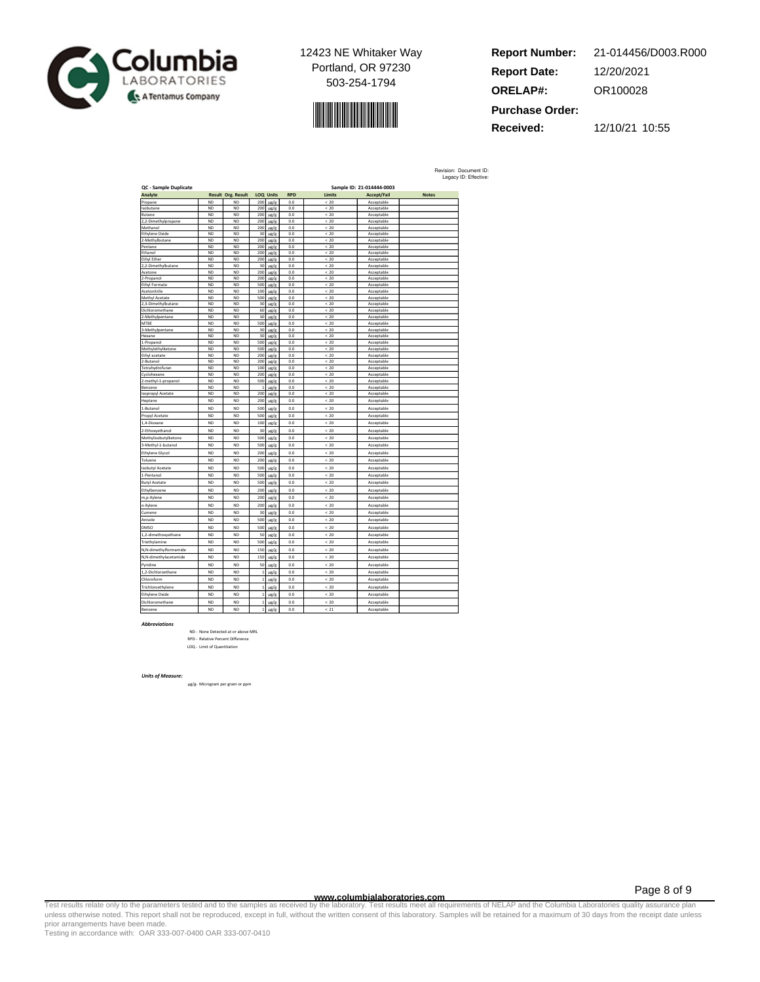

$$
\mathcal{L}^{\text{max}}_{\text{max}}
$$

**Report Number: Report Date: ORELAP#:** 12/20/2021 OR100028 **Received:** 12/10/21 10:55 **Purchase Order:** 21-014456/D003.R000

Revision: Document ID: Legacy ID: Effective:

| QC - Sample Duplicate<br>Analyte |                        | <b>Result Org. Result</b> |                | <b>LOQ Units</b>  | <b>RPD</b>     | Limits       | Sample ID: 21-014444-0003<br>Accept/Fail | <b>Notes</b> |  |
|----------------------------------|------------------------|---------------------------|----------------|-------------------|----------------|--------------|------------------------------------------|--------------|--|
|                                  | ND <sub></sub>         | <b>ND</b>                 | 200            |                   | 0 <sub>0</sub> | 20           |                                          |              |  |
| Propane                          | <b>ND</b>              | <b>ND</b>                 | 200            | ug/g              |                |              | Acceptable                               |              |  |
| sobutane<br>Butane               | <b>ND</b>              | ND                        | 200            | ug/g<br>$\mu$ g/g | 0.0<br>0.0     | < 20<br>< 20 | Acceptable<br>Acceptable                 |              |  |
| 2,2-Dimethylpropane              | <b>ND</b>              | <b>ND</b>                 | 200            | $\mu$ g/g         | 0.0            | < 20         | Acceptable                               |              |  |
| Methanol                         | <b>ND</b>              | <b>ND</b>                 | 200            | ue/e              | 0.0            | < 20         | Acceptable                               |              |  |
| Ethylene Oxide                   | <b>ND</b>              | ND                        | 30             | ug/g              | 0.0            | < 20         | Acceptable                               |              |  |
| 2-Methylbutane                   | <b>ND</b>              | <b>ND</b>                 | 200            | ug/g              | 0.0            | < 20         | Acceptable                               |              |  |
| Pentane                          | <b>ND</b>              | ND                        | 200            | µg/g              | 0.0            | < 20         | Acceptable                               |              |  |
| Ethanol                          | <b>ND</b>              | <b>ND</b>                 | 200            | $\mu$ g/g         | 0.0            | < 20         | Acceptable                               |              |  |
| Ethyl Ether                      | <b>ND</b>              | ND                        | 200            | ug/g              | 0.0            | < 20         | Acceptable                               |              |  |
| 2-Dimethylbutane                 | <b>ND</b>              | ND                        | 30             | ug/g              | 0.0            | < 20         | Acceptable                               |              |  |
| Acetone                          | <b>ND</b>              | ND                        | 200            | ug/g              | 0.0            | < 20         | Acceptable                               |              |  |
| 2-Propanol                       | <b>ND</b>              | ND                        | 200            | $\mu$ g/g         | 0.0            | < 20         | Acceptable                               |              |  |
| <b>Ethyl Formate</b>             | <b>ND</b>              | <b>ND</b>                 | 500            | ug/g              | 0.0            | < 20         | Acceptable                               |              |  |
| Acetonitrile                     | N <sub>D</sub>         | ND.                       | 100            | ug/g              | 0 <sub>0</sub> | 20           | Acceptable                               |              |  |
| Methyl Acetate                   | <b>ND</b>              | ND                        | 500            | ug/g              | 0.0            | < 20         | Acceptable                               |              |  |
| 2,3-Dimethylbutane               | <b>ND</b>              | ND                        | 30             | µg/g              | 0.0            | < 20         | Acceptable                               |              |  |
| Dichloromethane                  | <b>ND</b>              | <b>ND</b>                 | 60             | ug/g              | 0.0            | < 20         | Acceptable                               |              |  |
| 2-Methylpentane<br><b>MTRF</b>   | <b>ND</b><br><b>ND</b> | ND                        | 30<br>500      | ug/g              | 0.0<br>0.0     | < 20         | Acceptable                               |              |  |
| 3-Methylpentane                  | <b>ND</b>              | ND<br>ND                  | 30             | ug/g              | 0.0            | < 20<br>< 20 | Acceptable<br>Acceptable                 |              |  |
| Hexane                           | <b>ND</b>              | <b>ND</b>                 | 30             | µg/g<br>$\mu$ g/g | 0.0            | < 20         | Acceptable                               |              |  |
| -Propanol                        | <b>ND</b>              | ND                        | 500            | ug/g              | 0.0            | < 20         | Acceptable                               |              |  |
| Methylethylketone                | N <sub>D</sub>         | ND.                       | 500            | ug/g              | 0 <sub>0</sub> | 20           | Acceptable                               |              |  |
| thyl acetate                     | <b>ND</b>              | ND                        | 200            | ug/g              | 0.0            | < 20         | Acceptable                               |              |  |
| 2-Butanol                        | <b>ND</b>              | ND                        | 200            | µg/g              | 0.0            | < 20         | Acceptable                               |              |  |
| Tetrahydrofuran                  | <b>ND</b>              | <b>ND</b>                 | 100            | ug/g              | 0.0            | < 20         | Acceptable                               |              |  |
| Cyclohexane                      | <b>ND</b>              | ND                        | 200            | ug/g              | 0.0            | < 20         | Acceptable                               |              |  |
| methyl-1-propanol                | <b>ND</b>              | <b>ND</b>                 | 500            | ug/g              | 0.0            | < 20         | Acceptable                               |              |  |
| Benzene                          | <b>ND</b>              | ND                        | ĵ              | µg/g              | 0.0            | < 20         | Acceptable                               |              |  |
| sopropyl Acetate                 | <b>ND</b>              | <b>ND</b>                 | 200            | µg/g              | 0.0            | < 20         | Acceptable                               |              |  |
| Heptane                          | <b>ND</b>              | <b>ND</b>                 | 200            | ug/g              | 0.0            | < 20         | Acceptable                               |              |  |
| I-Butanol                        | <b>ND</b>              | <b>ND</b>                 | 500            | µg/g              | 0.0            | < 20         | Acceptable                               |              |  |
| Propyl Acetate                   | <b>ND</b>              | <b>ND</b>                 | 500            | µg/g              | 0.0            | < 20         | Acceptable                               |              |  |
| 1,4-Dioxane                      | <b>ND</b>              | <b>ND</b>                 | 100            | ug/g              | 0.0            | < 20         | Acceptable                               |              |  |
| 2-Ethoxyethanol                  | <b>ND</b>              | ND                        | 30             | µg/g              | 0.0            | < 20         | Acceptable                               |              |  |
| Methylisobutylketone             | <b>ND</b>              | <b>ND</b>                 | 500            | µg/g              | 0.0            | < 20         | Acceptable                               |              |  |
|                                  | N <sub>D</sub>         | <b>ND</b>                 | 500            |                   | 0.0            | < 20         |                                          |              |  |
| 3-Methyl-1-butanol               |                        |                           |                | µg/g              |                |              | Acceptable                               |              |  |
| Ethylene Glycol                  | <b>ND</b>              | ND                        | 200            | ug/g              | 0.0            | < 20         | Acceptable                               |              |  |
| Toluene                          | <b>ND</b>              | ND                        | 200            | µg/g              | 0.0            | < 20         | Acceptable                               |              |  |
| sobutyl Acetate                  | <b>ND</b>              | <b>ND</b>                 | 500            | ug/g              | 0.0            | < 20         | Acceptable                               |              |  |
| 1-Pentanol                       | <b>ND</b>              | ND                        | 500            | ug/g              | 0.0            | < 20         | Acceptable                               |              |  |
| <b>Butyl Acetate</b>             | <b>ND</b>              | <b>ND</b>                 | 500            | µg/g              | 0.0            | < 20         | Acceptable                               |              |  |
| Ethylbenzene                     | N <sub>D</sub>         | <b>ND</b>                 | 200            | ug/g              | 0.0            | < 20         | Acceptable                               |              |  |
| m,p-Xylene                       | <b>ND</b>              | ND                        | 200            | µg/g              | 0.0            | < 20         | Acceptable                               |              |  |
| -Xylene                          | <b>ND</b>              | ND                        | 200            | ug/g              | 0.0            | < 20         | Acceptable                               |              |  |
| Cumene                           | <b>ND</b>              | <b>ND</b>                 | 30             | ug/g              | 0.0            | < 20         | Acceptable                               |              |  |
| Anisole                          | <b>ND</b>              | ND                        | 500            |                   | 0.0            | < 20         | Acceptable                               |              |  |
|                                  |                        |                           |                | µg/g              |                |              |                                          |              |  |
| DMSO                             | <b>ND</b>              | <b>ND</b>                 | 500            | µg/g              | 0.0            | < 20         | Accentable                               |              |  |
| 1,2-dimethoxyethane              | <b>ND</b>              | <b>ND</b>                 | 50             | µg/g              | 0.0            | < 20         | Acceptable                               |              |  |
| Triethylamine                    | <b>ND</b>              | <b>ND</b>                 | 500            | µg/g              | 0.0            | < 20         | Acceptable                               |              |  |
| N,N-dimethylformamide            | <b>ND</b>              | ND                        | 150            | µg/g              | 0.0            | < 20         | Acceptable                               |              |  |
| N,N-dimethylacetamide            | <b>ND</b>              | ND                        | 150            | ug/g              | 0.0            | < 20         | Acceptable                               |              |  |
| Pyridine                         | <b>ND</b>              | <b>ND</b>                 | 50             | µg/g              | 0.0            | < 20         | Acceptable                               |              |  |
| 1.2-Dichloroethane               | <b>ND</b>              | <b>ND</b>                 | $\overline{1}$ | µg/g              | 0.0            | < 20         | Acceptable                               |              |  |
| Chloroform                       | N <sub>D</sub>         | <b>ND</b>                 | f              | µg/g              | 0.0            | 20           | Acceptable                               |              |  |
|                                  | <b>ND</b>              | <b>ND</b>                 |                |                   |                | < 20         |                                          |              |  |
| Trichloroethylene                |                        |                           | $\overline{1}$ | µg/g              | 0.0            |              | Acceptable                               |              |  |
| Ethylene Oxide                   | <b>ND</b>              | <b>ND</b>                 | Ï              | µg/g              | 0.0            | < 20         | Acceptable                               |              |  |
| Dichloromethane                  | <b>ND</b>              | ND                        | Ï              | ug/g              | 0.0            | < 20         | Acceptable                               |              |  |
| Benzene                          | <b>ND</b>              | <b>ND</b>                 | $\overline{1}$ | µg/g              | 0.0            | < 21         | Acceptable                               |              |  |

### *Abbreviations*

ND - None Detected at or above MRL RPD - Relative Percent Difference LOQ - Limit of Quantitation

### *Units of Measure:*

µg/g- Microgram per gram or ppm

Page 8 of 9

www.columbialaboratories.com<br>Test results relate only to the parameters tested and to the samples as received by the laboratories metall requirements of NELAP and the Columbia Laboratories quality assurance plan<br>unless oth prior arrangements have been made.